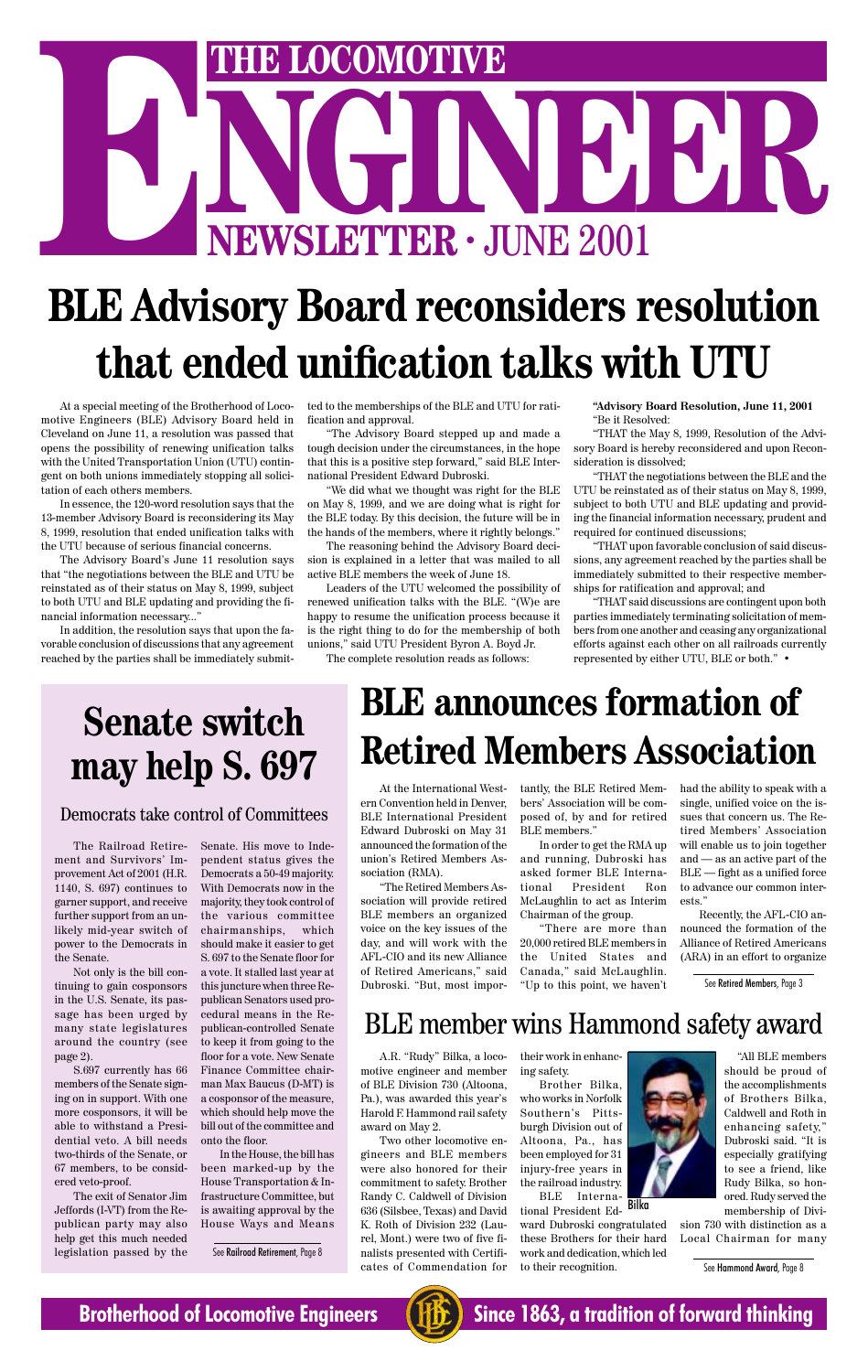# **NEWSLETTER . JUNE 2001 ENEWSLETTER · JUNE 2001**<br>**BLE Advisory Board reconsiders resolution**

## **that ended unification talks with UTU**

At a special meeting of the Brotherhood of Locomotive Engineers (BLE) Advisory Board held in Cleveland on June 11, a resolution was passed that opens the possibility of renewing unification talks with the United Transportation Union (UTU) contingent on both unions immediately stopping all solicitation of each others members.

In essence, the 120-word resolution says that the 13-member Advisory Board is reconsidering its May 8, 1999, resolution that ended unification talks with the UTU because of serious financial concerns.

The Advisory Board's June 11 resolution says that "the negotiations between the BLE and UTU be reinstated as of their status on May 8, 1999, subject to both UTU and BLE updating and providing the financial information necessary..."

In addition, the resolution says that upon the favorable conclusion of discussions that any agreement reached by the parties shall be immediately submitted to the memberships of the BLE and UTU for ratification and approval.

"The Advisory Board stepped up and made a tough decision under the circumstances, in the hope that this is a positive step forward," said BLE International President Edward Dubroski.

"We did what we thought was right for the BLE on May 8, 1999, and we are doing what is right for the BLE today. By this decision, the future will be in the hands of the members, where it rightly belongs."

The reasoning behind the Advisory Board decision is explained in a letter that was mailed to all active BLE members the week of June 18.

Leaders of the UTU welcomed the possibility of renewed unification talks with the BLE. "(W)e are happy to resume the unification process because it is the right thing to do for the membership of both unions," said UTU President Byron A. Boyd Jr.

The complete resolution reads as follows:

**"Advisory Board Resolution, June 11, 2001** "Be it Resolved:

"THAT the May 8, 1999, Resolution of the Advisory Board is hereby reconsidered and upon Reconsideration is dissolved;

"THAT the negotiations between the BLE and the UTU be reinstated as of their status on May 8, 1999, subject to both UTU and BLE updating and providing the financial information necessary, prudent and required for continued discussions;

"THAT upon favorable conclusion of said discussions, any agreement reached by the parties shall be immediately submitted to their respective memberships for ratification and approval; and

"THAT said discussions are contingent upon both parties immediately terminating solicitation of members from one another and ceasing any organizational efforts against each other on all railroads currently represented by either UTU, BLE or both." •

### **Senate switch may help S. 697**

#### Democrats take control of Committees

The Railroad Retirement and Survivors' Improvement Act of 2001 (H.R. 1140, S. 697) continues to garner support, and receive further support from an unlikely mid-year switch of power to the Democrats in the Senate.

Not only is the bill continuing to gain cosponsors in the U.S. Senate, its passage has been urged by many state legislatures around the country (see page 2). S.697 currently has 66 members of the Senate signing on in support. With one more cosponsors, it will be able to withstand a Presidential veto. A bill needs two-thirds of the Senate, or 67 members, to be considered veto-proof.

The exit of Senator Jim Jeffords (I-VT) from the Republican party may also help get this much needed legislation passed by the Senate. His move to Independent status gives the Democrats a 50-49 majority. With Democrats now in the majority, they took control of the various committee chairmanships, which should make it easier to get S. 697 to the Senate floor for a vote. It stalled last year at this juncture when three Republican Senators used pro-

cedural means in the Republican-controlled Senate to keep it from going to the floor for a vote. New Senate

Finance Committee chairman Max Baucus (D-MT) is a cosponsor of the measure, which should help move the bill out of the committee and onto the floor.

In the House, the bill has been marked-up by the House Transportation & Infrastructure Committee, but is awaiting approval by the House Ways and Means

### **BLE announces formation of Retired Members Association**

At the International Western Convention held in Denver, BLE International President Edward Dubroski on May 31 announced the formation of the union's Retired Members Association (RMA).

"The Retired Members Association will provide retired BLE members an organized voice on the key issues of the day, and will work with the AFL-CIO and its new Alliance of Retired Americans," said Dubroski. "But, most importantly, the BLE Retired Members' Association will be composed of, by and for retired BLE members."

In order to get the RMA up and running, Dubroski has asked former BLE International President Ron McLaughlin to act as Interim Chairman of the group.

"There are more than 20,000 retired BLE members in the United States and Canada," said McLaughlin. "Up to this point, we haven't

had the ability to speak with a single, unified voice on the issues that concern us. The Retired Members' Association will enable us to join together and — as an active part of the BLE — fight as a unified force to advance our common interests."

Recently, the AFL-CIO announced the formation of the Alliance of Retired Americans (ARA) in an effort to organize

### BLE member wins Hammond safety award

A.R. "Rudy" Bilka, a locomotive engineer and member of BLE Division 730 (Altoona, Pa.), was awarded this year's Harold F. Hammond rail safety award on May 2.

Two other locomotive engineers and BLE members were also honored for their commitment to safety. Brother Randy C. Caldwell of Division 636 (Silsbee, Texas) and David K. Roth of Division 232 (Laurel, Mont.) were two of five finalists presented with Certificates of Commendation for

their work in enhancing safety.

> ward Dubroski congratulated these Brothers for their hard work and dedication, which led to their recognition.

Brother Bilka, who works in Norfolk Southern's Pittsburgh Division out of Altoona, Pa., has been employed for 31 injury-free years in the railroad industry. BLE International President Ed-Bilka



sion 730 with distinction as a Local Chairman for many

See Hammond Award, Page 8



**Brotherhood of Locomotive Engineers (HE)** Since 1863, a tradition of forward thinking

See Railroad Retirement, Page 8

See Retired Members, Page 3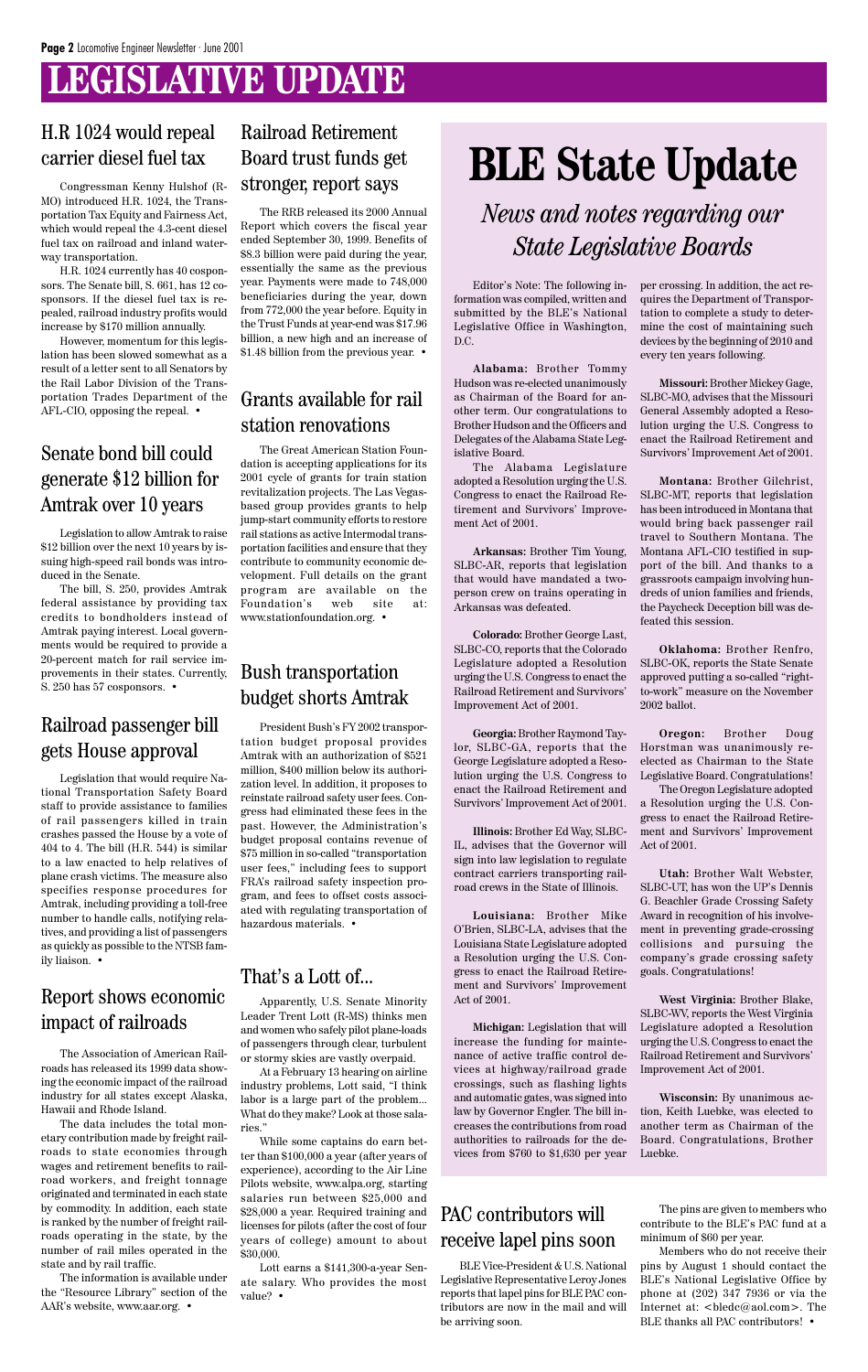### **LEGISLATIVE UPDATE**

### **BLE State Update**

*News and notes regarding our State Legislative Boards*

Editor's Note: The following information was compiled, written and submitted by the BLE's National Legislative Office in Washington, D.C.

**Alabama:** Brother Tommy Hudson was re-elected unanimously as Chairman of the Board for another term. Our congratulations to Brother Hudson and the Officers and Delegates of the Alabama State Legislative Board.

The Alabama Legislature adopted a Resolution urging the U.S. Congress to enact the Railroad Retirement and Survivors' Improvement Act of 2001.

**Arkansas:** Brother Tim Young, SLBC-AR, reports that legislation that would have mandated a twoperson crew on trains operating in Arkansas was defeated.

**Colorado:** Brother George Last, SLBC-CO, reports that the Colorado Legislature adopted a Resolution urging the U.S. Congress to enact the Railroad Retirement and Survivors' Improvement Act of 2001.

**Georgia:** Brother Raymond Taylor, SLBC-GA, reports that the George Legislature adopted a Resolution urging the U.S. Congress to enact the Railroad Retirement and Survivors' Improvement Act of 2001.

**Illinois:** Brother Ed Way, SLBC-IL, advises that the Governor will sign into law legislation to regulate contract carriers transporting railroad crews in the State of Illinois.

**Louisiana:** Brother Mike O'Brien, SLBC-LA, advises that the Louisiana State Legislature adopted a Resolution urging the U.S. Congress to enact the Railroad Retirement and Survivors' Improvement Act of 2001.

**Michigan:** Legislation that will increase the funding for maintenance of active traffic control devices at highway/railroad grade crossings, such as flashing lights and automatic gates, was signed into law by Governor Engler. The bill increases the contributions from road authorities to railroads for the devices from \$760 to \$1,630 per year

per crossing. In addition, the act requires the Department of Transportation to complete a study to determine the cost of maintaining such devices by the beginning of 2010 and every ten years following.

**Missouri:** Brother Mickey Gage, SLBC-MO, advises that the Missouri General Assembly adopted a Resolution urging the U.S. Congress to enact the Railroad Retirement and Survivors' Improvement Act of 2001.

**Montana:** Brother Gilchrist, SLBC-MT, reports that legislation has been introduced in Montana that would bring back passenger rail travel to Southern Montana. The Montana AFL-CIO testified in support of the bill. And thanks to a grassroots campaign involving hundreds of union families and friends, the Paycheck Deception bill was defeated this session.

**Oklahoma:** Brother Renfro, SLBC-OK, reports the State Senate approved putting a so-called "rightto-work" measure on the November 2002 ballot.

**Oregon:** Brother Doug Horstman was unanimously reelected as Chairman to the State Legislative Board. Congratulations!

The Oregon Legislature adopted a Resolution urging the U.S. Congress to enact the Railroad Retirement and Survivors' Improvement Act of 2001.

**Utah:** Brother Walt Webster, SLBC-UT, has won the UP's Dennis G. Beachler Grade Crossing Safety Award in recognition of his involvement in preventing grade-crossing collisions and pursuing the company's grade crossing safety goals. Congratulations!

**West Virginia:** Brother Blake,

#### SLBC-WV, reports the West Virginia Legislature adopted a Resolution urging the U.S. Congress to enact the Railroad Retirement and Survivors' Improvement Act of 2001.

**Wisconsin:** By unanimous action, Keith Luebke, was elected to another term as Chairman of the Board. Congratulations, Brother Luebke.

### H.R 1024 would repeal carrier diesel fuel tax

Congressman Kenny Hulshof (R-MO) introduced H.R. 1024, the Transportation Tax Equity and Fairness Act, which would repeal the 4.3-cent diesel fuel tax on railroad and inland waterway transportation.

H.R. 1024 currently has 40 cosponsors. The Senate bill, S. 661, has 12 cosponsors. If the diesel fuel tax is repealed, railroad industry profits would increase by \$170 million annually.

However, momentum for this legislation has been slowed somewhat as a result of a letter sent to all Senators by the Rail Labor Division of the Transportation Trades Department of the AFL-CIO, opposing the repeal. •

> Members who do not receive their pins by August 1 should contact the BLE's National Legislative Office by phone at (202) 347 7936 or via the Internet at: <bledc@aol.com>. The BLE thanks all PAC contributors! •

### Senate bond bill could generate \$12 billion for Amtrak over 10 years

Legislation to allow Amtrak to raise \$12 billion over the next 10 years by issuing high-speed rail bonds was introduced in the Senate.

The bill, S. 250, provides Amtrak federal assistance by providing tax credits to bondholders instead of Amtrak paying interest. Local governments would be required to provide a 20-percent match for rail service improvements in their states. Currently, S. 250 has 57 cosponsors. •

### Railroad passenger bill gets House approval

Legislation that would require National Transportation Safety Board staff to provide assistance to families of rail passengers killed in train crashes passed the House by a vote of 404 to 4. The bill (H.R. 544) is similar to a law enacted to help relatives of plane crash victims. The measure also specifies response procedures for Amtrak, including providing a toll-free number to handle calls, notifying relatives, and providing a list of passengers as quickly as possible to the NTSB family liaison. •

President Bush's FY 2002 transportation budget proposal provides Amtrak with an authorization of \$521 million, \$400 million below its authorization level. In addition, it proposes to reinstate railroad safety user fees. Congress had eliminated these fees in the past. However, the Administration's budget proposal contains revenue of \$75 million in so-called "transportation user fees," including fees to support FRA's railroad safety inspection program, and fees to offset costs associated with regulating transportation of hazardous materials. •

### Bush transportation budget shorts Amtrak

The RRB released its 2000 Annual Report which covers the fiscal year ended September 30, 1999. Benefits of \$8.3 billion were paid during the year, essentially the same as the previous year. Payments were made to 748,000 beneficiaries during the year, down from 772,000 the year before. Equity in the Trust Funds at year-end was \$17.96 billion, a new high and an increase of \$1.48 billion from the previous year. •

### Railroad Retirement Board trust funds get stronger, report says

Apparently, U.S. Senate Minority

Leader Trent Lott (R-MS) thinks men and women who safely pilot plane-loads of passengers through clear, turbulent or stormy skies are vastly overpaid.

At a February 13 hearing on airline industry problems, Lott said, "I think labor is a large part of the problem... What do they make? Look at those salaries."

While some captains do earn better than \$100,000 a year (after years of experience), according to the Air Line Pilots website, www.alpa.org, starting salaries run between \$25,000 and \$28,000 a year. Required training and licenses for pilots (after the cost of four years of college) amount to about \$30,000.

Lott earns a \$141,300-a-year Senate salary. Who provides the most value? •

### That's a Lott of...

The Association of American Railroads has released its 1999 data showing the economic impact of the railroad industry for all states except Alaska, Hawaii and Rhode Island.

The data includes the total monetary contribution made by freight railroads to state economies through wages and retirement benefits to railroad workers, and freight tonnage originated and terminated in each state by commodity. In addition, each state is ranked by the number of freight railroads operating in the state, by the number of rail miles operated in the state and by rail traffic.

The information is available under the "Resource Library" section of the AAR's website, www.aar.org. •

### Report shows economic

#### impact of railroads

The Great American Station Foundation is accepting applications for its 2001 cycle of grants for train station revitalization projects. The Las Vegasbased group provides grants to help jump-start community efforts to restore rail stations as active Intermodal transportation facilities and ensure that they contribute to community economic development. Full details on the grant program are available on the Foundation's web site at: www.stationfoundation.org. •

### Grants available for rail station renovations

BLE Vice-President & U.S. National Legislative Representative Leroy Jones reports that lapel pins for BLE PAC contributors are now in the mail and will be arriving soon.

The pins are given to members who contribute to the BLE's PAC fund at a minimum of \$60 per year.

### PAC contributors will receive lapel pins soon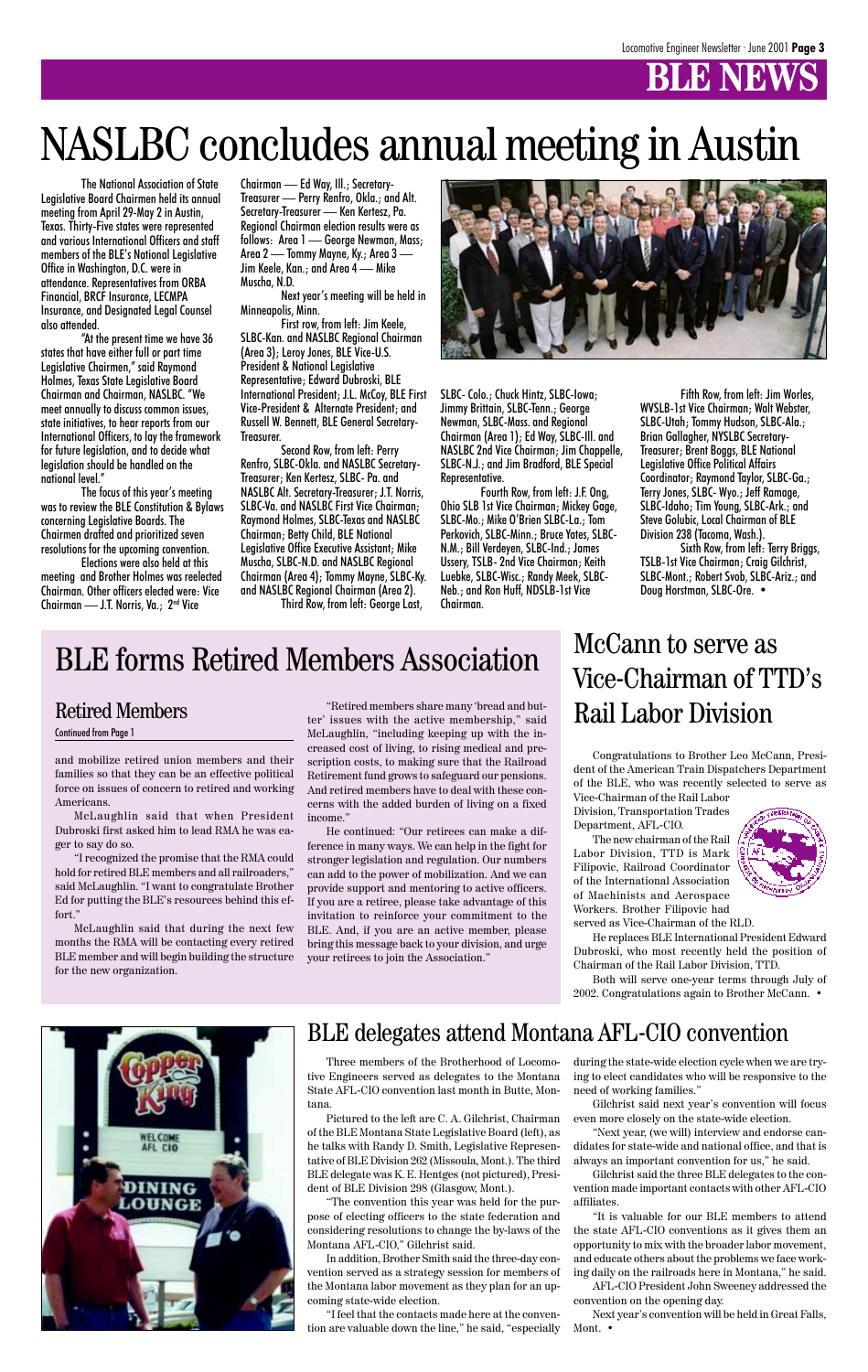

Three members of the Brotherhood of Locomotive Engineers served as delegates to the Montana State AFL-CIO convention last month in Butte, Montana.

Pictured to the left are C. A. Gilchrist, Chairman of the BLE Montana State Legislative Board (left), as he talks with Randy D. Smith, Legislative Representative of BLE Division 262 (Missoula, Mont.). The third BLE delegate was K. E. Hentges (not pictured), President of BLE Division 298 (Glasgow, Mont.).

"The convention this year was held for the purpose of electing officers to the state federation and considering resolutions to change the by-laws of the Montana AFL-CIO," Gilchrist said.

In addition, Brother Smith said the three-day convention served as a strategy session for members of the Montana labor movement as they plan for an upcoming state-wide election.

"I feel that the contacts made here at the convention are valuable down the line," he said, "especially

during the state-wide election cycle when we are trying to elect candidates who will be responsive to the need of working families."

Gilchrist said next year's convention will focus even more closely on the state-wide election.

"Next year, (we will) interview and endorse candidates for state-wide and national office, and that is always an important convention for us," he said.

Gilchrist said the three BLE delegates to the convention made important contacts with other AFL-CIO affiliates.

"It is valuable for our BLE members to attend the state AFL-CIO conventions as it gives them an opportunity to mix with the broader labor movement, and educate others about the problems we face working daily on the railroads here in Montana," he said.

AFL-CIO President John Sweeney addressed the convention on the opening day.

Next year's convention will be held in Great Falls, Mont. •

### BLE delegates attend Montana AFL-CIO convention

The National Association of State Legislative Board Chairmen held its annual meeting from April 29-May 2 in Austin, Texas. Thirty-Five states were represented and various International Officers and staff members of the BLE's National Legislative Office in Washington, D.C. were in attendance. Representatives from ORBA Financial, BRCF Insurance, LECMPA Insurance, and Designated Legal Counsel also attended.

"At the present time we have 36 states that have either full or part time Legislative Chairmen," said Raymond Holmes, Texas State Legislative Board Chairman and Chairman, NASLBC. "We meet annually to discuss common issues, state initiatives, to hear reports from our International Officers, to lay the framework for future legislation, and to decide what legislation should be handled on the national level."

The focus of this year's meeting was to review the BLE Constitution & Bylaws concerning Legislative Boards. The Chairmen drafted and prioritized seven resolutions for the upcoming convention.

Elections were also held at this meeting and Brother Holmes was reelected Chairman. Other officers elected were: Vice Chairman — J.T. Norris, Va.; 2nd Vice

Chairman — Ed Way, Ill.; Secretary-Treasurer — Perry Renfro, Okla.; and Alt. Secretary-Treasurer — Ken Kertesz, Pa. Regional Chairman election results were as follows: Area 1 — George Newman, Mass; Area 2 — Tommy Mayne, Ky.; Area 3 — Jim Keele, Kan.; and Area 4 — Mike Muscha, N.D.

Next year's meeting will be held in Minneapolis, Minn.

First row, from left: Jim Keele, SLBC-Kan. and NASLBC Regional Chairman (Area 3); Leroy Jones, BLE Vice-U.S. President & National Legislative Representative; Edward Dubroski, BLE International President; J.L. McCoy, BLE First Vice-President & Alternate President; and Russell W. Bennett, BLE General Secretary-Treasurer.

Second Row, from left: Perry Renfro, SLBC-Okla. and NASLBC Secretary-Treasurer; Ken Kertesz, SLBC- Pa. and NASLBC Alt. Secretary-Treasurer; J.T. Norris, SLBC-Va. and NASLBC First Vice Chairman; Raymond Holmes, SLBC-Texas and NASLBC Chairman; Betty Child, BLE National Legislative Office Executive Assistant; Mike Muscha, SLBC-N.D. and NASLBC Regional Chairman (Area 4); Tommy Mayne, SLBC-Ky. and NASLBC Regional Chairman (Area 2).

Third Row, from left: George Last,



SLBC- Colo.; Chuck Hintz, SLBC-Iowa; Jimmy Brittain, SLBC-Tenn.; George Newman, SLBC-Mass. and Regional Chairman (Area 1); Ed Way, SLBC-Ill. and NASLBC 2nd Vice Chairman; Jim Chappelle, SLBC-N.J.; and Jim Bradford, BLE Special Representative.

Fourth Row, from left: J.F. Ong, Ohio SLB 1st Vice Chairman; Mickey Gage, SLBC-Mo.; Mike O'Brien SLBC-La.; Tom Perkovich, SLBC-Minn.; Bruce Yates, SLBC-N.M.; Bill Verdeyen, SLBC-Ind.; James Ussery, TSLB- 2nd Vice Chairman; Keith Luebke, SLBC-Wisc.; Randy Meek, SLBC-Neb.; and Ron Huff, NDSLB-1st Vice Chairman.

Fifth Row, from left: Jim Worles, WVSLB-1st Vice Chairman; Walt Webster, SLBC-Utah; Tommy Hudson, SLBC-Ala.; Brian Gallagher, NYSLBC Secretary-Treasurer; Brent Boggs, BLE National Legislative Office Political Affairs Coordinator; Raymond Taylor, SLBC-Ga.; Terry Jones, SLBC- Wyo.; Jeff Ramage, SLBC-Idaho; Tim Young, SLBC-Ark.; and Steve Golubic, Local Chairman of BLE Division 238 (Tacoma, Wash.).

Sixth Row, from left: Terry Briggs, TSLB-1st Vice Chairman; Craig Gilchrist, SLBC-Mont.; Robert Svob, SLBC-Ariz.; and Doug Horstman, SLBC-Ore. •

### NASLBC concludes annual meeting in Austin

### BLE forms Retired Members Association

and mobilize retired union members and their families so that they can be an effective political force on issues of concern to retired and working Americans.

McLaughlin said that when President Dubroski first asked him to lead RMA he was eager to say do so.

"I recognized the promise that the RMA could hold for retired BLE members and all railroaders," said McLaughlin. "I want to congratulate Brother Ed for putting the BLE's resources behind this effort."

McLaughlin said that during the next few months the RMA will be contacting every retired BLE member and will begin building the structure for the new organization.

"Retired members share many 'bread and butter' issues with the active membership," said McLaughlin, "including keeping up with the increased cost of living, to rising medical and prescription costs, to making sure that the Railroad Retirement fund grows to safeguard our pensions. And retired members have to deal with these concerns with the added burden of living on a fixed income."

He continued: "Our retirees can make a difference in many ways. We can help in the fight for stronger legislation and regulation. Our numbers can add to the power of mobilization. And we can provide support and mentoring to active officers. If you are a retiree, please take advantage of this invitation to reinforce your commitment to the BLE. And, if you are an active member, please bring this message back to your division, and urge your retirees to join the Association."

#### Retired Members

#### Continued from Page 1

### McCann to serve as Vice-Chairman of TTD's Rail Labor Division

Congratulations to Brother Leo McCann, President of the American Train Dispatchers Department of the BLE, who was recently selected to serve as

Vice-Chairman of the Rail Labor Division, Transportation Trades Department, AFL-CIO.

The new chairman of the Rail Labor Division, TTD is Mark Filipovic, Railroad Coordinator of the International Association of Machinists and Aerospace Workers. Brother Filipovic had



served as Vice-Chairman of the RLD.

He replaces BLE International President Edward Dubroski, who most recently held the position of Chairman of the Rail Labor Division, TTD.

Both will serve one-year terms through July of 2002. Congratulations again to Brother McCann. •

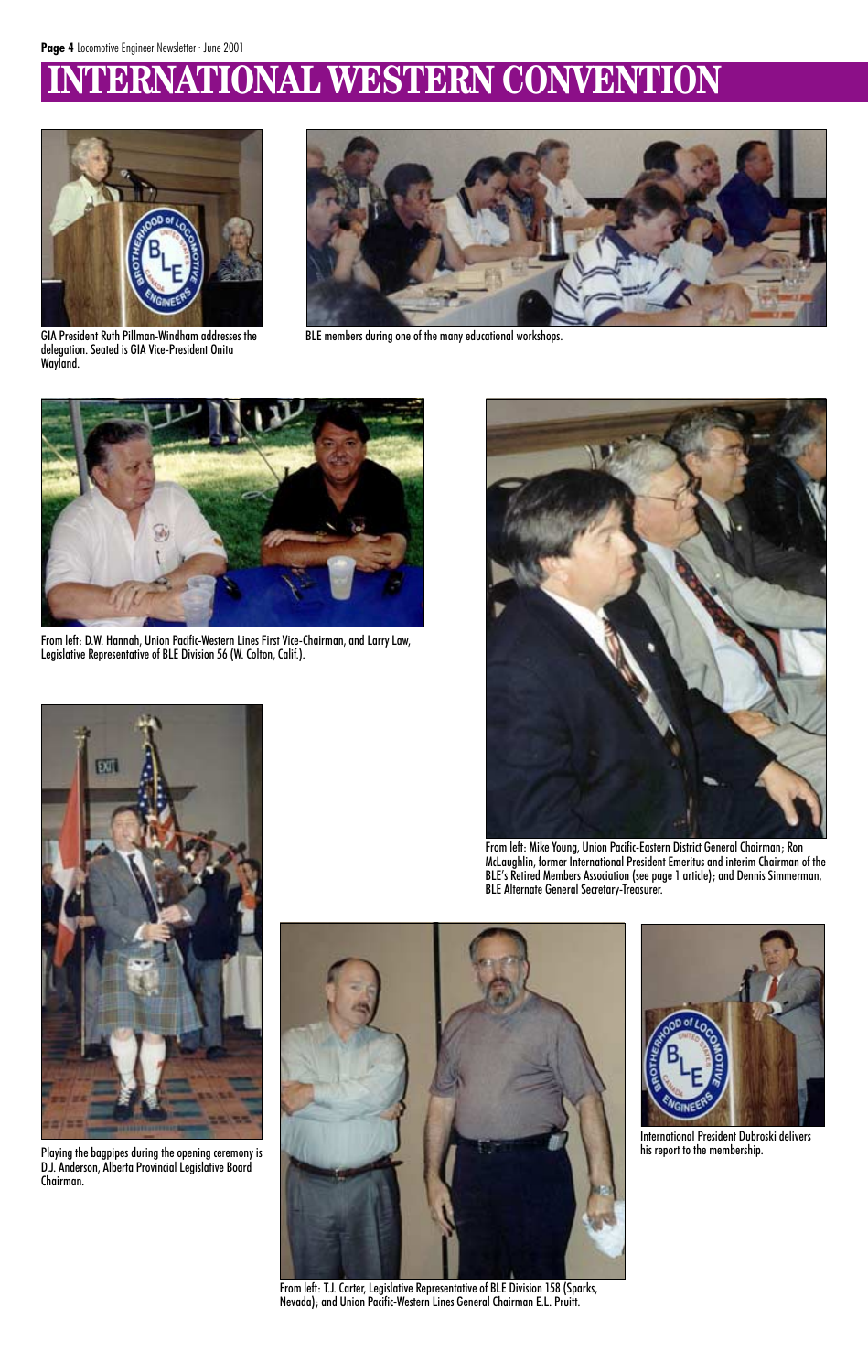### **IERNATIONAL WESTERN CONVENTION**



GIA President Ruth Pillman-Windham addresses the delegation. Seated is GIA Vice-President Onita Wayland.



BLE members during one of the many educational workshops.



From left: D.W. Hannah, Union Pacific-Western Lines First Vice-Chairman, and Larry Law, Legislative Representative of BLE Division 56 (W. Colton, Calif.).







From left: Mike Young, Union Pacific-Eastern District General Chairman; Ron McLaughlin, former International President Emeritus and interim Chairman of the BLE's Retired Members Association (see page 1 article); and Dennis Simmerman, BLE Alternate General Secretary-Treasurer.



Playing the bagpipes during the opening ceremony is D.J. Anderson, Alberta Provincial Legislative Board Chairman.

International President Dubroski delivers his report to the membership.

From left: T.J. Carter, Legislative Representative of BLE Division 158 (Sparks, Nevada); and Union Pacific-Western Lines General Chairman E.L. Pruitt.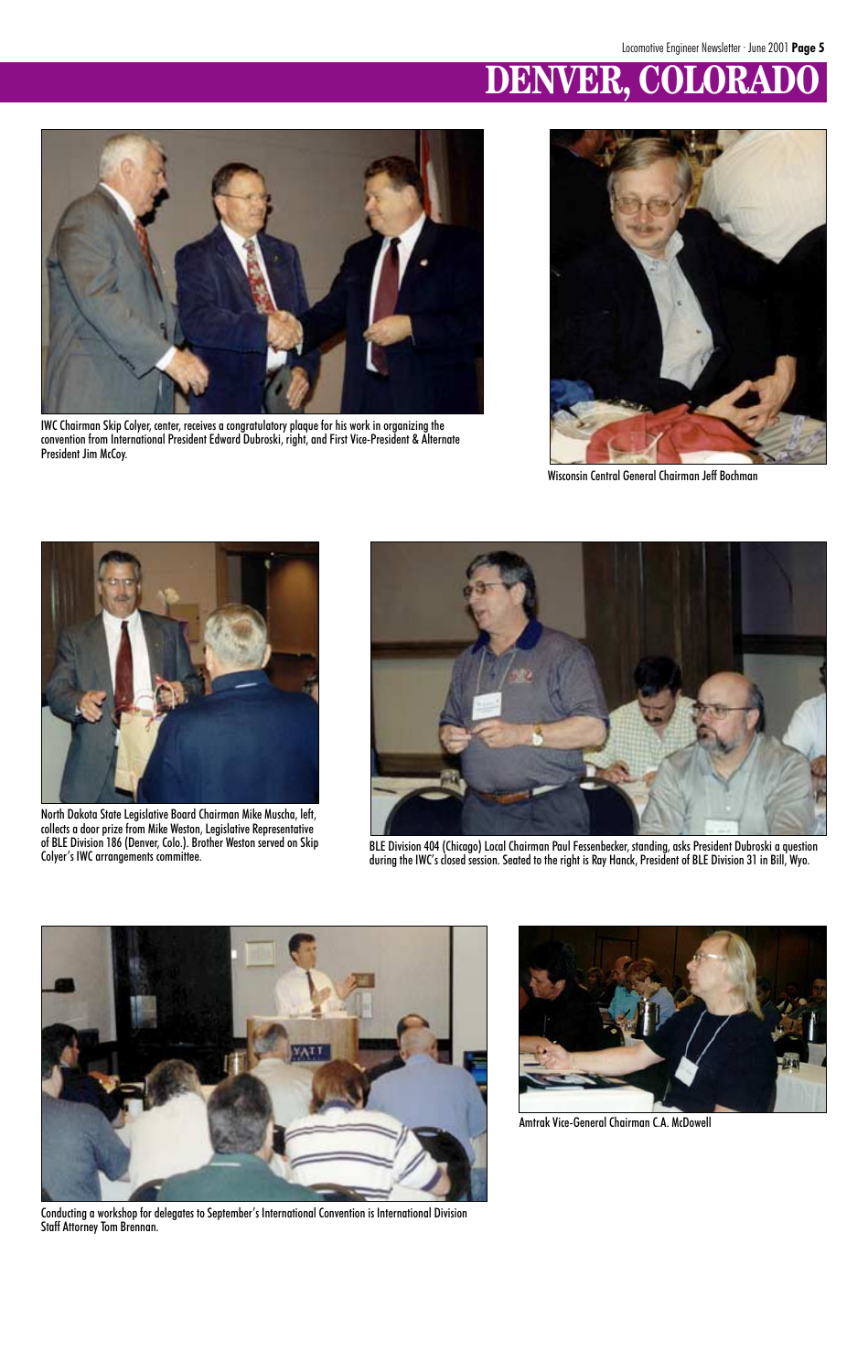

IWC Chairman Skip Colyer, center, receives a congratulatory plaque for his work in organizing the convention from International President Edward Dubroski, right, and First Vice-President & Alternate President Jim McCoy.

### **DENVER, COLORADO**



Wisconsin Central General Chairman Jeff Bochman



North Dakota State Legislative Board Chairman Mike Muscha, left, collects a door prize from Mike Weston, Legislative Representative of BLE Division 186 (Denver, Colo.). Brother Weston served on Skip



of BLE Division 186 (Denver, Colo.). Brother Weston served on Skip and BLE Division 404 (Chicago) Local Chairman Paul Fessenbecker, standing, asks President Dubroski a question<br>Colyer's IWC arrangements committee. and Bill





Conducting a workshop for delegates to September's International Convention is International Division Staff Attorney Tom Brennan.

Amtrak Vice-General Chairman C.A. McDowell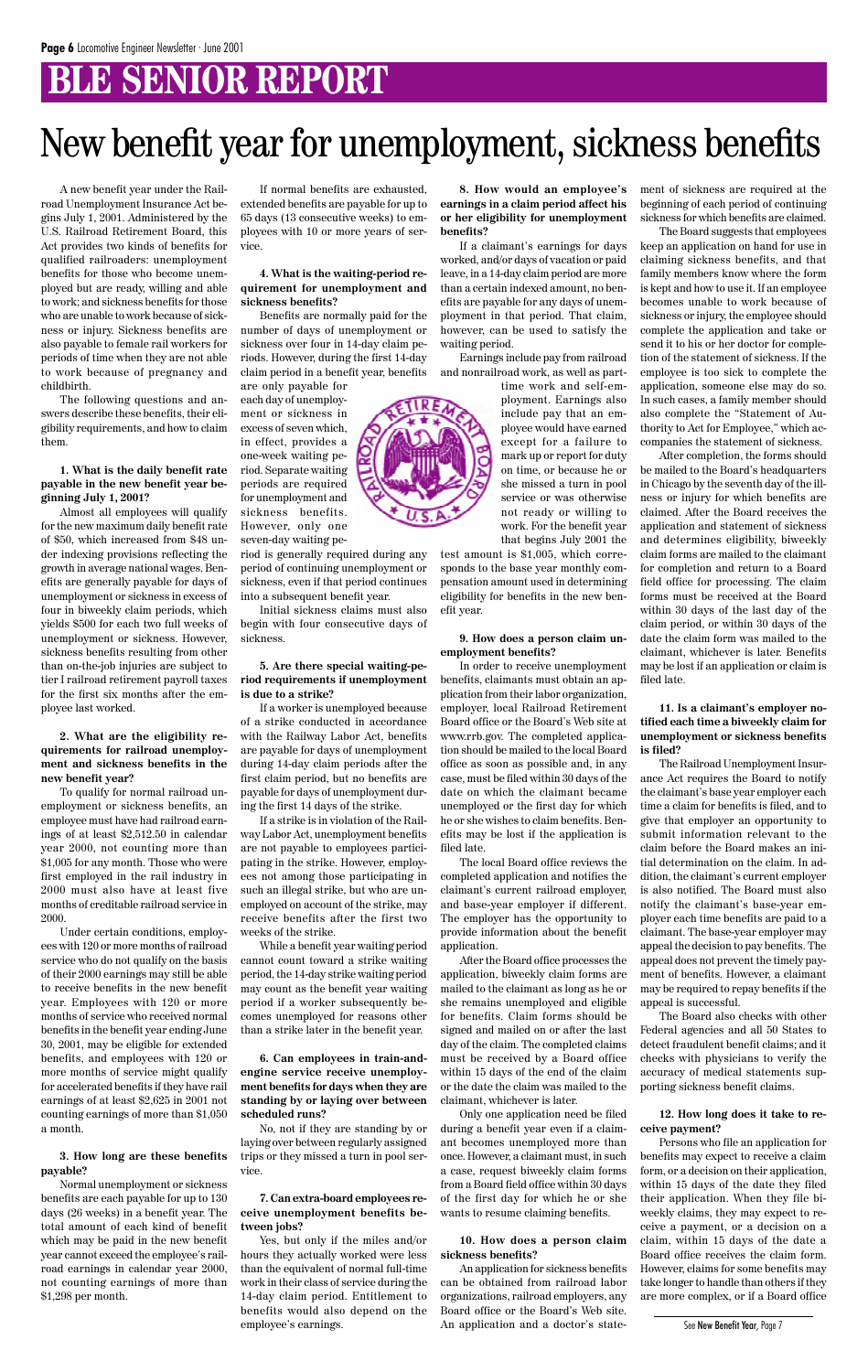### **BLE SENIOR REPORT**

A new benefit year under the Railroad Unemployment Insurance Act begins July 1, 2001. Administered by the U.S. Railroad Retirement Board, this Act provides two kinds of benefits for qualified railroaders: unemployment benefits for those who become unemployed but are ready, willing and able to work; and sickness benefits for those who are unable to work because of sickness or injury. Sickness benefits are also payable to female rail workers for periods of time when they are not able to work because of pregnancy and childbirth.

The following questions and answers describe these benefits, their eligibility requirements, and how to claim them.

#### **1. What is the daily benefit rate payable in the new benefit year beginning July 1, 2001?**

Almost all employees will qualify for the new maximum daily benefit rate of \$50, which increased from \$48 under indexing provisions reflecting the growth in average national wages. Benefits are generally payable for days of unemployment or sickness in excess of four in biweekly claim periods, which yields \$500 for each two full weeks of unemployment or sickness. However, sickness benefits resulting from other than on-the-job injuries are subject to tier I railroad retirement payroll taxes for the first six months after the employee last worked.

#### **2. What are the eligibility requirements for railroad unemployment and sickness benefits in the new benefit year?**

To qualify for normal railroad unemployment or sickness benefits, an employee must have had railroad earnings of at least \$2,512.50 in calendar year 2000, not counting more than \$1,005 for any month. Those who were first employed in the rail industry in 2000 must also have at least five months of creditable railroad service in 2000.

Under certain conditions, employees with 120 or more months of railroad service who do not qualify on the basis of their 2000 earnings may still be able to receive benefits in the new benefit year. Employees with 120 or more months of service who received normal benefits in the benefit year ending June 30, 2001, may be eligible for extended benefits, and employees with 120 or more months of service might qualify for accelerated benefits if they have rail earnings of at least \$2,625 in 2001 not counting earnings of more than \$1,050 a month.

**3. How long are these benefits payable?**

Normal unemployment or sickness benefits are each payable for up to 130 days (26 weeks) in a benefit year. The total amount of each kind of benefit which may be paid in the new benefit year cannot exceed the employee's railroad earnings in calendar year 2000, not counting earnings of more than \$1,298 per month.

If normal benefits are exhausted, extended benefits are payable for up to 65 days (13 consecutive weeks) to employees with 10 or more years of service.

#### **4. What is the waiting-period requirement for unemployment and sickness benefits?**

Benefits are normally paid for the number of days of unemployment or sickness over four in 14-day claim periods. However, during the first 14-day claim period in a benefit year, benefits

are only payable for each day of unemployment or sickness in excess of seven which, in effect, provides a one-week waiting period. Separate waiting periods are required for unemployment and sickness benefits. However, only one

seven-day waiting period is generally required during any period of continuing unemployment or sickness, even if that period continues

into a subsequent benefit year. Initial sickness claims must also

begin with four consecutive days of sickness.

#### **5. Are there special waiting-period requirements if unemployment is due to a strike?**

If a worker is unemployed because of a strike conducted in accordance with the Railway Labor Act, benefits are payable for days of unemployment during 14-day claim periods after the first claim period, but no benefits are payable for days of unemployment during the first 14 days of the strike.

If a strike is in violation of the Railway Labor Act, unemployment benefits are not payable to employees participating in the strike. However, employees not among those participating in such an illegal strike, but who are unemployed on account of the strike, may receive benefits after the first two weeks of the strike.

While a benefit year waiting period cannot count toward a strike waiting period, the 14-day strike waiting period may count as the benefit year waiting period if a worker subsequently be-

comes unemployed for reasons other than a strike later in the benefit year.

**6. Can employees in train-andengine service receive unemployment benefits for days when they are standing by or laying over between scheduled runs?**

No, not if they are standing by or laying over between regularly assigned trips or they missed a turn in pool service.

**7. Can extra-board employees receive unemployment benefits between jobs?**

Yes, but only if the miles and/or hours they actually worked were less than the equivalent of normal full-time work in their class of service during the 14-day claim period. Entitlement to benefits would also depend on the employee's earnings.

**8. How would an employee's earnings in a claim period affect his or her eligibility for unemployment benefits?**

If a claimant's earnings for days worked, and/or days of vacation or paid leave, in a 14-day claim period are more than a certain indexed amount, no benefits are payable for any days of unemployment in that period. That claim, however, can be used to satisfy the waiting period.

Earnings include pay from railroad and nonrailroad work, as well as part-

> time work and self-employment. Earnings also include pay that an employee would have earned except for a failure to mark up or report for duty on time, or because he or she missed a turn in pool service or was otherwise not ready or willing to work. For the benefit year that begins July 2001 the

test amount is \$1,005, which corresponds to the base year monthly compensation amount used in determining eligibility for benefits in the new benefit year.

#### **9. How does a person claim unemployment benefits?**

In order to receive unemployment benefits, claimants must obtain an application from their labor organization, employer, local Railroad Retirement Board office or the Board's Web site at www.rrb.gov. The completed application should be mailed to the local Board office as soon as possible and, in any case, must be filed within 30 days of the date on which the claimant became unemployed or the first day for which he or she wishes to claim benefits. Benefits may be lost if the application is filed late.

The local Board office reviews the completed application and notifies the claimant's current railroad employer, and base-year employer if different. The employer has the opportunity to provide information about the benefit application.

After the Board office processes the application, biweekly claim forms are mailed to the claimant as long as he or she remains unemployed and eligible for benefits. Claim forms should be signed and mailed on or after the last day of the claim. The completed claims must be received by a Board office within 15 days of the end of the claim or the date the claim was mailed to the claimant, whichever is later. Only one application need be filed during a benefit year even if a claimant becomes unemployed more than once. However, a claimant must, in such a case, request biweekly claim forms from a Board field office within 30 days of the first day for which he or she wants to resume claiming benefits.

#### **10. How does a person claim sickness benefits?**

An application for sickness benefits can be obtained from railroad labor organizations, railroad employers, any Board office or the Board's Web site. An application and a doctor's statement of sickness are required at the beginning of each period of continuing sickness for which benefits are claimed.

The Board suggests that employees keep an application on hand for use in claiming sickness benefits, and that family members know where the form is kept and how to use it. If an employee becomes unable to work because of sickness or injury, the employee should complete the application and take or send it to his or her doctor for completion of the statement of sickness. If the employee is too sick to complete the application, someone else may do so. In such cases, a family member should also complete the "Statement of Authority to Act for Employee," which accompanies the statement of sickness.

After completion, the forms should be mailed to the Board's headquarters in Chicago by the seventh day of the illness or injury for which benefits are claimed. After the Board receives the application and statement of sickness and determines eligibility, biweekly claim forms are mailed to the claimant for completion and return to a Board field office for processing. The claim forms must be received at the Board within 30 days of the last day of the claim period, or within 30 days of the date the claim form was mailed to the claimant, whichever is later. Benefits may be lost if an application or claim is filed late.

#### **11. Is a claimant's employer notified each time a biweekly claim for unemployment or sickness benefits is filed?**

The Railroad Unemployment Insurance Act requires the Board to notify the claimant's base year employer each time a claim for benefits is filed, and to give that employer an opportunity to submit information relevant to the claim before the Board makes an initial determination on the claim. In addition, the claimant's current employer is also notified. The Board must also notify the claimant's base-year employer each time benefits are paid to a claimant. The base-year employer may appeal the decision to pay benefits. The appeal does not prevent the timely payment of benefits. However, a claimant may be required to repay benefits if the appeal is successful.



The Board also checks with other Federal agencies and all 50 States to detect fraudulent benefit claims; and it checks with physicians to verify the accuracy of medical statements supporting sickness benefit claims.

#### **12. How long does it take to receive payment?**

Persons who file an application for benefits may expect to receive a claim form, or a decision on their application, within 15 days of the date they filed their application. When they file biweekly claims, they may expect to receive a payment, or a decision on a claim, within 15 days of the date a Board office receives the claim form. However, claims for some benefits may take longer to handle than others if they are more complex, or if a Board office

### New benefit year for unemployment, sickness benefits

See New Benefit Year, Page 7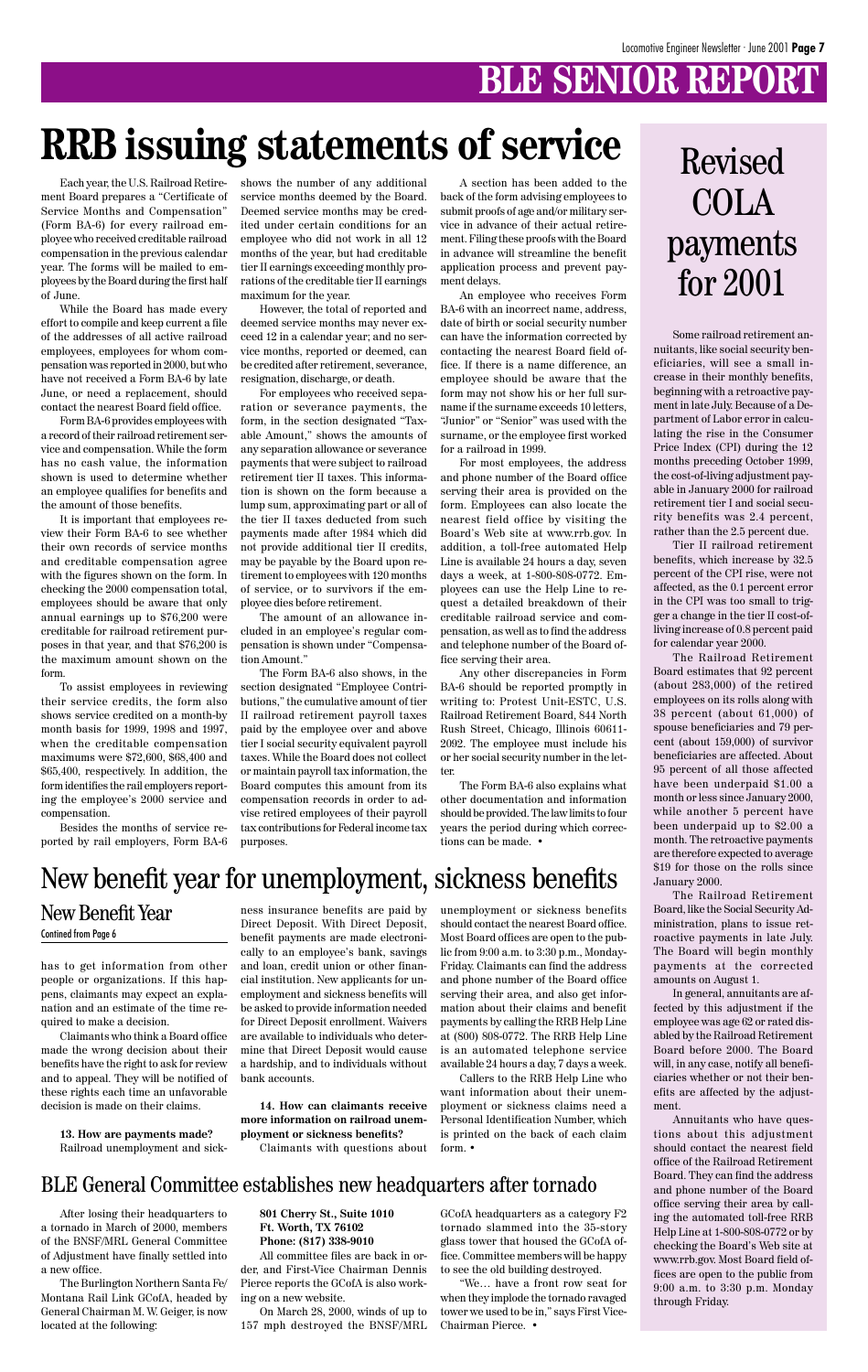### **BLE SENIOR REPORT**

has to get information from other people or organizations. If this happens, claimants may expect an explanation and an estimate of the time required to make a decision.

Claimants who think a Board office made the wrong decision about their benefits have the right to ask for review and to appeal. They will be notified of these rights each time an unfavorable decision is made on their claims.

**13. How are payments made?** Railroad unemployment and sickness insurance benefits are paid by Direct Deposit. With Direct Deposit, benefit payments are made electronically to an employee's bank, savings and loan, credit union or other financial institution. New applicants for unemployment and sickness benefits will be asked to provide information needed for Direct Deposit enrollment. Waivers are available to individuals who determine that Direct Deposit would cause a hardship, and to individuals without bank accounts.

**14. How can claimants receive more information on railroad unemployment or sickness benefits?** Claimants with questions about

unemployment or sickness benefits should contact the nearest Board office. Most Board offices are open to the public from 9:00 a.m. to 3:30 p.m., Monday-Friday. Claimants can find the address and phone number of the Board office serving their area, and also get information about their claims and benefit payments by calling the RRB Help Line at (800) 808-0772. The RRB Help Line is an automated telephone service available 24 hours a day, 7 days a week. Callers to the RRB Help Line who want information about their unemployment or sickness claims need a Personal Identification Number, which is printed on the back of each claim form. •

Some railroad retirement annuitants, like social security beneficiaries, will see a small increase in their monthly benefits, beginning with a retroactive payment in late July. Because of a Department of Labor error in calculating the rise in the Consumer Price Index (CPI) during the 12 months preceding October 1999, the cost-of-living adjustment payable in January 2000 for railroad retirement tier I and social security benefits was 2.4 percent, rather than the 2.5 percent due.

Tier II railroad retirement benefits, which increase by 32.5 percent of the CPI rise, were not affected, as the 0.1 percent error in the CPI was too small to trigger a change in the tier II cost-ofliving increase of 0.8 percent paid for calendar year 2000.

The Railroad Retirement Board estimates that 92 percent (about 283,000) of the retired employees on its rolls along with 38 percent (about 61,000) of spouse beneficiaries and 79 percent (about 159,000) of survivor beneficiaries are affected. About 95 percent of all those affected have been underpaid \$1.00 a month or less since January 2000, while another 5 percent have been underpaid up to \$2.00 a month. The retroactive payments are therefore expected to average \$19 for those on the rolls since January 2000.

The Railroad Retirement Board, like the Social Security Administration, plans to issue retroactive payments in late July. The Board will begin monthly payments at the corrected amounts on August 1.

In general, annuitants are affected by this adjustment if the employee was age 62 or rated disabled by the Railroad Retirement Board before 2000. The Board will, in any case, notify all beneficiaries whether or not their benefits are affected by the adjustment.

Annuitants who have questions about this adjustment should contact the nearest field office of the Railroad Retirement Board. They can find the address and phone number of the Board office serving their area by calling the automated toll-free RRB Help Line at 1-800-808-0772 or by checking the Board's Web site at www.rrb.gov. Most Board field offices are open to the public from 9:00 a.m. to 3:30 p.m. Monday through Friday.

Each year, the U.S. Railroad Retirement Board prepares a "Certificate of Service Months and Compensation" (Form BA-6) for every railroad employee who received creditable railroad compensation in the previous calendar year. The forms will be mailed to employees by the Board during the first half of June.

While the Board has made every effort to compile and keep current a file of the addresses of all active railroad employees, employees for whom compensation was reported in 2000, but who have not received a Form BA-6 by late June, or need a replacement, should contact the nearest Board field office.

Form BA-6 provides employees with a record of their railroad retirement service and compensation. While the form has no cash value, the information shown is used to determine whether an employee qualifies for benefits and the amount of those benefits.

It is important that employees review their Form BA-6 to see whether their own records of service months and creditable compensation agree with the figures shown on the form. In checking the 2000 compensation total, employees should be aware that only annual earnings up to \$76,200 were creditable for railroad retirement purposes in that year, and that \$76,200 is the maximum amount shown on the form.

To assist employees in reviewing their service credits, the form also shows service credited on a month-by month basis for 1999, 1998 and 1997, when the creditable compensation maximums were \$72,600, \$68,400 and \$65,400, respectively. In addition, the form identifies the rail employers reporting the employee's 2000 service and compensation.

Besides the months of service reported by rail employers, Form BA-6

shows the number of any additional service months deemed by the Board. Deemed service months may be credited under certain conditions for an employee who did not work in all 12 months of the year, but had creditable tier II earnings exceeding monthly prorations of the creditable tier II earnings maximum for the year.

However, the total of reported and deemed service months may never exceed 12 in a calendar year; and no service months, reported or deemed, can be credited after retirement, severance, resignation, discharge, or death.

For employees who received separation or severance payments, the form, in the section designated "Taxable Amount," shows the amounts of any separation allowance or severance payments that were subject to railroad retirement tier II taxes. This information is shown on the form because a lump sum, approximating part or all of the tier II taxes deducted from such payments made after 1984 which did not provide additional tier II credits, may be payable by the Board upon retirement to employees with 120 months of service, or to survivors if the employee dies before retirement.

The amount of an allowance included in an employee's regular compensation is shown under "Compensation Amount."

The Form BA-6 also shows, in the section designated "Employee Contributions," the cumulative amount of tier II railroad retirement payroll taxes paid by the employee over and above tier I social security equivalent payroll taxes. While the Board does not collect or maintain payroll tax information, the Board computes this amount from its compensation records in order to advise retired employees of their payroll tax contributions for Federal income tax purposes.

A section has been added to the back of the form advising employees to submit proofs of age and/or military service in advance of their actual retirement. Filing these proofs with the Board in advance will streamline the benefit application process and prevent payment delays.

An employee who receives Form BA-6 with an incorrect name, address, date of birth or social security number can have the information corrected by contacting the nearest Board field office. If there is a name difference, an employee should be aware that the form may not show his or her full surname if the surname exceeds 10 letters, "Junior" or "Senior" was used with the surname, or the employee first worked for a railroad in 1999.

For most employees, the address and phone number of the Board office serving their area is provided on the form. Employees can also locate the nearest field office by visiting the Board's Web site at www.rrb.gov. In addition, a toll-free automated Help Line is available 24 hours a day, seven days a week, at 1-800-808-0772. Employees can use the Help Line to request a detailed breakdown of their creditable railroad service and compensation, as well as to find the address and telephone number of the Board office serving their area.

Any other discrepancies in Form BA-6 should be reported promptly in writing to: Protest Unit-ESTC, U.S. Railroad Retirement Board, 844 North Rush Street, Chicago, Illinois 60611- 2092. The employee must include his or her social security number in the letter.

The Form BA-6 also explains what other documentation and information should be provided. The law limits to four years the period during which corrections can be made. •

### Revised **COLA** payments for 2001

### **RRB issuing statements of service**

New Benefit Year Contined from Page 6

### New benefit year for unemployment, sickness benefits

After losing their headquarters to a tornado in March of 2000, members of the BNSF/MRL General Committee of Adjustment have finally settled into a new office.

The Burlington Northern Santa Fe/ Montana Rail Link GCofA, headed by General Chairman M. W. Geiger, is now located at the following:

**801 Cherry St., Suite 1010 Ft. Worth, TX 76102 Phone: (817) 338-9010** All committee files are back in or-

der, and First-Vice Chairman Dennis Pierce reports the GCofA is also working on a new website.

On March 28, 2000, winds of up to 157 mph destroyed the BNSF/MRL GCofA headquarters as a category F2 tornado slammed into the 35-story glass tower that housed the GCofA office. Committee members will be happy to see the old building destroyed.

"We… have a front row seat for when they implode the tornado ravaged tower we used to be in," says First Vice-Chairman Pierce. •

#### BLE General Committee establishes new headquarters after tornado